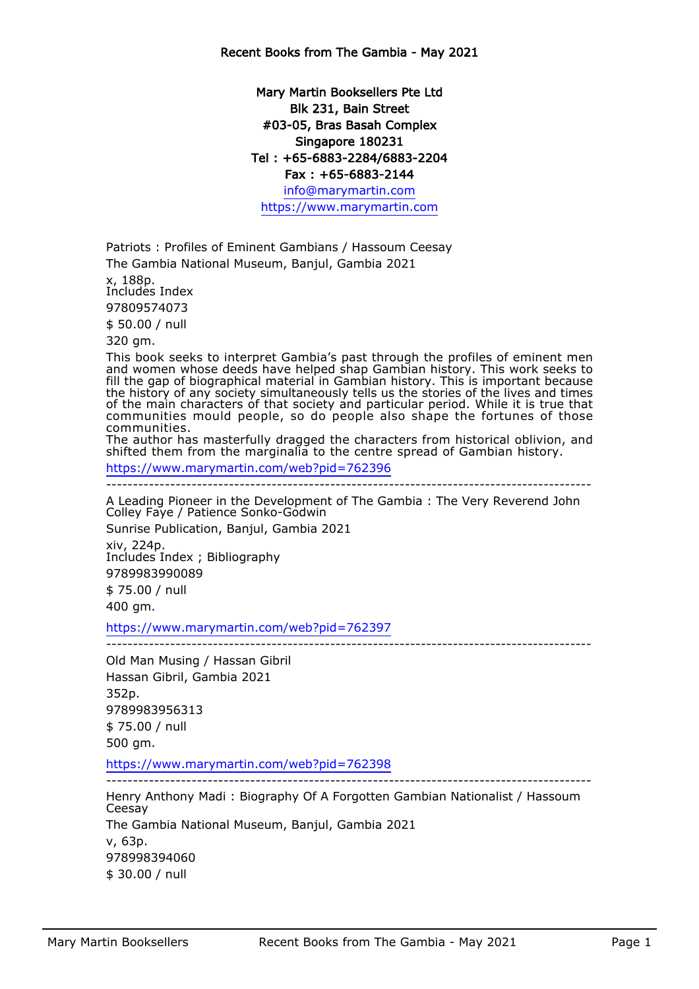## Mary Martin Booksellers Pte Ltd Blk 231, Bain Street #03-05, Bras Basah Complex Singapore 180231 Tel : +65-6883-2284/6883-2204 Fax : +65-6883-2144

info@marymartin.com https://www.marymartin.com

Patriots : Profiles of Eminent Gambians / Hassoum Ceesay The Gambia National Museum, Banjul, Gambia 2021

x, 188p.

Includes Index

97809574073

\$ 50.00 / null

320 gm.

This book seeks to interpret Gambia's past through the profiles of eminent men and women whose deeds have helped shap Gambian history. This work seeks to fill the gap of biographical material in Gambian history. This is important because the history of any society simultaneously tells us the stories of the lives and times of the main characters of that society and particular period. While it is true that communities mould people, so do people also shape the fortunes of those communities.

The author has masterfully dragged the characters from historical oblivion, and shifted them from the marginalia to the centre spread of Gambian history.

https://www.marymartin.com/web?pid=762396

-------------------------------------------------------------------------------------------

A Leading Pioneer in the Development of The Gambia : The Very Reverend John Colley Faye / Patience Sonko-Godwin

Sunrise Publication, Banjul, Gambia 2021 xiv, 224p. Includes Index ; Bibliography 9789983990089 \$ 75.00 / null 400 gm.

https://www.marymartin.com/web?pid=762397

-------------------------------------------------------------------------------------------

Old Man Musing / Hassan Gibril Hassan Gibril, Gambia 2021 352p. 9789983956313 \$ 75.00 / null 500 gm.

https://www.marymartin.com/web?pid=762398

-------------------------------------------------------------------------------------------

Henry Anthony Madi : Biography Of A Forgotten Gambian Nationalist / Hassoum **Ceesay** The Gambia National Museum, Banjul, Gambia 2021 v, 63p. 978998394060 \$ 30.00 / null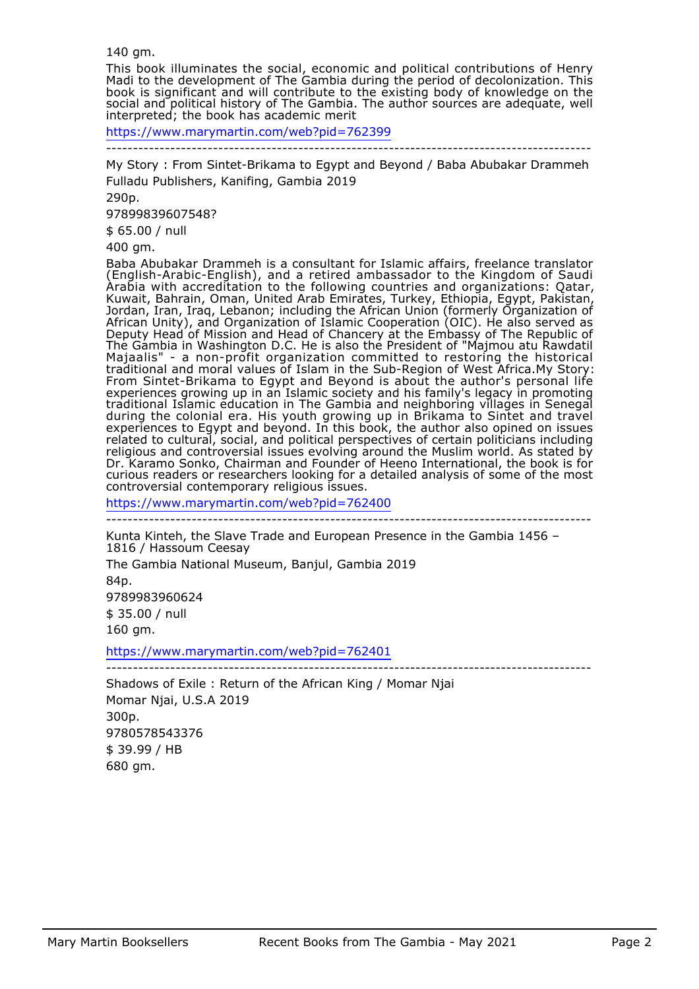140 gm.

This book illuminates the social, economic and political contributions of Henry Madi to the development of The Gambia during the period of decolonization. This book is significant and will contribute to the existing body of knowledge on the social and political history of The Gambia. The author sources are adequate, well interpreted; the book has academic merit

https://www.marymartin.com/web?pid=762399

-------------------------------------------------------------------------------------------

My Story : From Sintet-Brikama to Egypt and Beyond / Baba Abubakar Drammeh Fulladu Publishers, Kanifing, Gambia 2019

290p.

97899839607548?

\$ 65.00 / null

400 gm.

Baba Abubakar Drammeh is a consultant for Islamic affairs, freelance translator (English-Arabic-English), and a retired ambassador to the Kingdom of Saudi Arabia with accreditation to the following countries and organizations: Qatar, Kuwait, Bahrain, Oman, United Arab Emirates, Turkey, Ethiopia, Egypt, Pakistan, Jordan, Iran, Iraq, Lebanon; including the African Union (formerly Organization of African Unity), and Organization of Islamic Cooperation (OIC). He also served as Deputy Head of Mission and Head of Chancery at the Embassy of The Republic of The Gambia in Washington D.C. He is also the President of "Majmou atu Rawdatil Majaalis" - a non-profit organization committed to restoring the historical traditional and moral values of Islam in the Sub-Region of West Africa.My Story: From Sintet-Brikama to Egypt and Beyond is about the author's personal life experiences growing up in an Islamic society and his family's legacy in promoting traditional Islamic education in The Gambia and neighboring villages in Senegal during the colonial era. His youth growing up in Brikama to Sintet and travel experiences to Egypt and beyond. In this book, the author also opined on issues related to cultural, social, and political perspectives of certain politicians including religious and controversial issues evolving around the Muslim world. As stated by Dr. Karamo Sonko, Chairman and Founder of Heeno International, the book is for curious readers or researchers looking for a detailed analysis of some of the most controversial contemporary religious issues.

https://www.marymartin.com/web?pid=762400

-------------------------------------------------------------------------------------------

Kunta Kinteh, the Slave Trade and European Presence in the Gambia 1456 – 1816 / Hassoum Ceesay The Gambia National Museum, Banjul, Gambia 2019 84p. 9789983960624 \$ 35.00 / null 160 gm.

https://www.marymartin.com/web?pid=762401

-------------------------------------------------------------------------------------------

Shadows of Exile : Return of the African King / Momar Njai Momar Njai, U.S.A 2019 300p. 9780578543376 \$ 39.99 / HB 680 gm.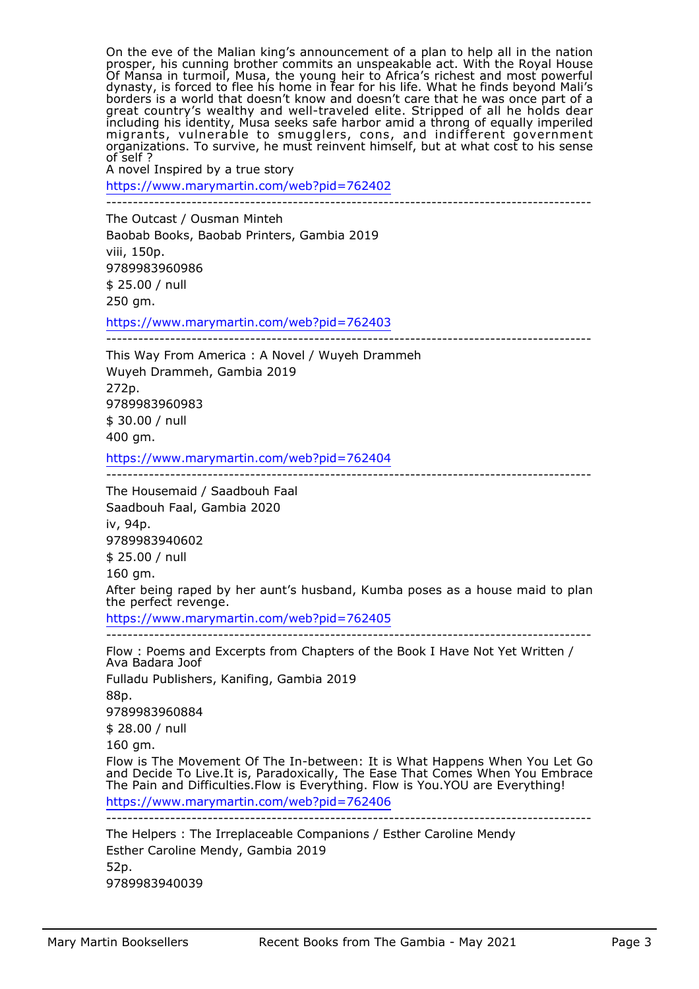On the eve of the Malian king's announcement of a plan to help all in the nation prosper, his cunning brother commits an unspeakable act. With the Royal House Of Mansa in turmoil, Musa, the young heir to Africa's richest and most powerful dynasty, is forced to flee his home in fear for his life. What he finds beyond Mali's borders is a world that doesn't know and doesn't care that he was once part of a great country's wealthy and well-traveled elite. Stripped of all he holds dear including his identity, Musa seeks safe harbor amid a throng of equally imperiled migrants, vulnerable to smugglers, cons, and indifferent government organizations. To survive, he must reinvent himself, but at what cost to his sense of self ?

A novel Inspired by a true story

https://www.marymartin.com/web?pid=762402

-------------------------------------------------------------------------------------------

The Outcast / Ousman Minteh Baobab Books, Baobab Printers, Gambia 2019 viii, 150p. 9789983960986 \$ 25.00 / null 250 gm.

https://www.marymartin.com/web?pid=762403 -------------------------------------------------------------------------------------------

This Way From America : A Novel / Wuyeh Drammeh Wuyeh Drammeh, Gambia 2019 272p. 9789983960983 \$ 30.00 / null 400 gm.

https://www.marymartin.com/web?pid=762404

-------------------------------------------------------------------------------------------

The Housemaid / Saadbouh Faal

Saadbouh Faal, Gambia 2020 iv, 94p. 9789983940602 \$ 25.00 / null 160 gm. After being raped by her aunt's husband, Kumba poses as a house maid to plan the perfect revenge. https://www.marymartin.com/web?pid=762405 -------------------------------------------------------------------------------------------

Flow : Poems and Excerpts from Chapters of the Book I Have Not Yet Written / Ava Badara Joof Fulladu Publishers, Kanifing, Gambia 2019 88p. 9789983960884 \$ 28.00 / null 160 gm. Flow is The Movement Of The In-between: It is What Happens When You Let Go and Decide To Live.It is, Paradoxically, The Ease That Comes When You Embrace The Pain and Difficulties.Flow is Everything. Flow is You.YOU are Everything! https://www.marymartin.com/web?pid=762406 ------------------------------------------------------------------------------------------- The Helpers : The Irreplaceable Companions / Esther Caroline Mendy

Esther Caroline Mendy, Gambia 2019 52p. 9789983940039